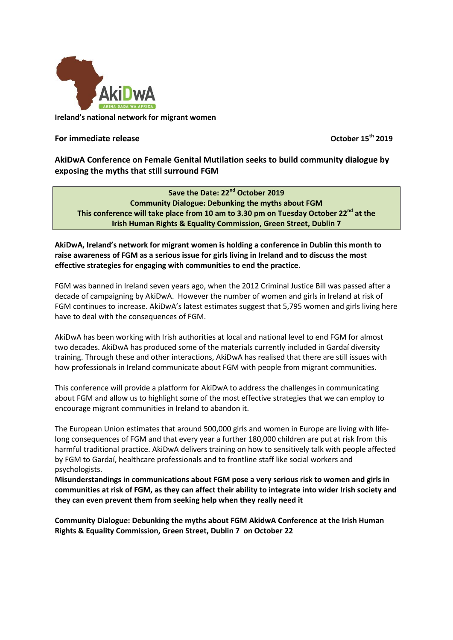

**Ireland's national network for migrant women**

## **For immediate release**

**th 2019**

**AkiDwA Conference on Female Genital Mutilation seeks to build community dialogue by exposing the myths that still surround FGM**

**Save the Date: 22nd October 2019 Community Dialogue: Debunking the myths about FGM This conference will take place from 10 am to 3.30 pm on Tuesday October 22nd at the Irish Human Rights & Equality Commission, Green Street, Dublin 7**

## **AkiDwA, Ireland's network for migrant women is holding a conference in Dublin this month to raise awareness of FGM as a serious issue for girls living in Ireland and to discuss the most effective strategies for engaging with communities to end the practice.**

FGM was banned in Ireland seven years ago, when the 2012 Criminal Justice Bill was passed after a decade of campaigning by AkiDwA. However the number of women and girls in Ireland at risk of FGM continues to increase. AkiDwA's latest estimates suggest that 5,795 women and girls living here have to deal with the consequences of FGM.

AkiDwA has been working with Irish authorities at local and national level to end FGM for almost two decades. AkiDwA has produced some of the materials currently included in Gardaí diversity training. Through these and other interactions, AkiDwA has realised that there are still issues with how professionals in Ireland communicate about FGM with people from migrant communities.

This conference will provide a platform for AkiDwA to address the challenges in communicating about FGM and allow us to highlight some of the most effective strategies that we can employ to encourage migrant communities in Ireland to abandon it.

The European Union estimates that around 500,000 girls and women in Europe are living with lifelong consequences of FGM and that every year a further 180,000 children are put at risk from this harmful traditional practice. AkiDwA delivers training on how to sensitively talk with people affected by FGM to Gardaí, healthcare professionals and to frontline staff like social workers and psychologists.

**Misunderstandings in communications about FGM pose a very serious risk to women and girls in communities at risk of FGM, as they can affect their ability to integrate into wider Irish society and they can even prevent them from seeking help when they really need it**

**Community Dialogue: Debunking the myths about FGM AkidwA Conference at the Irish Human Rights & Equality Commission, Green Street, Dublin 7 on October 22**